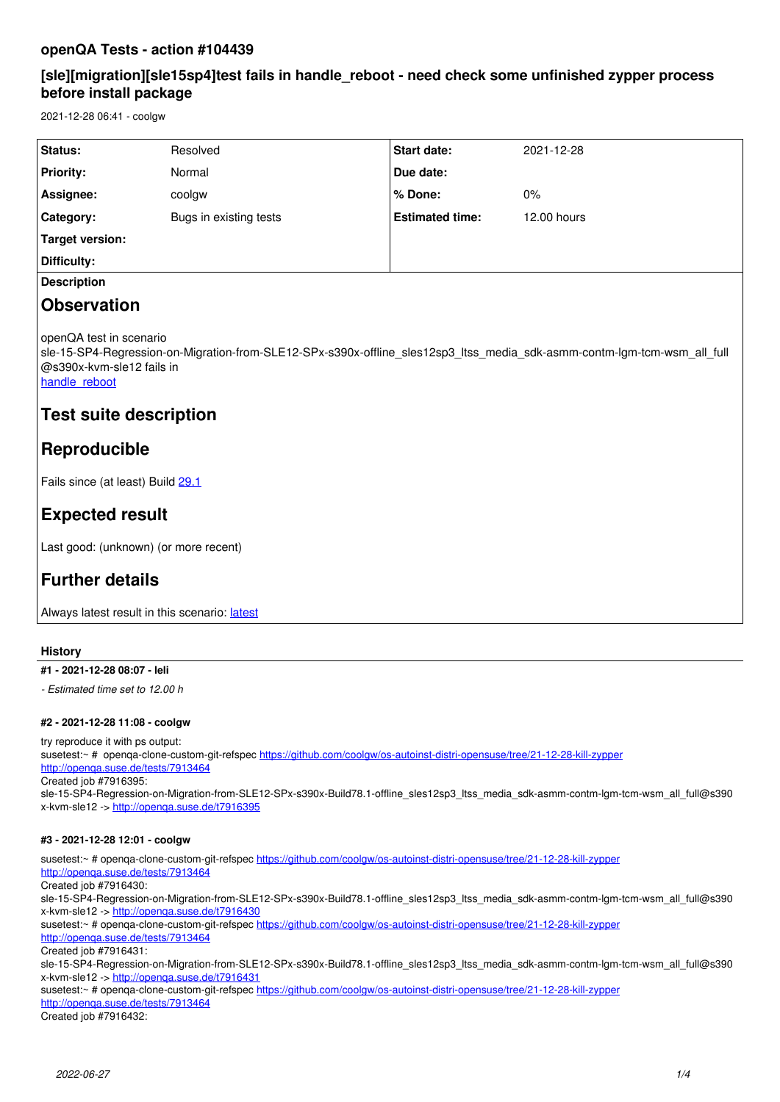## **openQA Tests - action #104439**

## **[sle][migration][sle15sp4]test fails in handle\_reboot - need check some unfinished zypper process before install package**

2021-12-28 06:41 - coolgw

| <b>Status:</b>   | Resolved               | <b>Start date:</b>     | 2021-12-28  |
|------------------|------------------------|------------------------|-------------|
| <b>Priority:</b> | Normal                 | Due date:              |             |
| Assignee:        | coolgw                 | l % Done:              | 0%          |
| Category:        | Bugs in existing tests | <b>Estimated time:</b> | 12.00 hours |
| Target version:  |                        |                        |             |
| Difficulty:      |                        |                        |             |
|                  |                        |                        |             |

## **Description**

# **Observation**

openQA test in scenario

sle-15-SP4-Regression-on-Migration-from-SLE12-SPx-s390x-offline sles12sp3 ltss media sdk-asmm-contm-lgm-tcm-wsm all full @s390x-kvm-sle12 fails in

handle reboot

# **Test suite description**

# **Reproducible**

Fails since (at least) Build [29.1](https://openqa.suse.de/tests/6962560)

# **Expected result**

Last good: (unknown) (or more recent)

# **Further details**

Always [latest](https://openqa.suse.de/tests/latest?arch=s390x&distri=sle&flavor=Regression-on-Migration-from-SLE12-SPx&machine=s390x-kvm-sle12&test=offline_sles12sp3_ltss_media_sdk-asmm-contm-lgm-tcm-wsm_all_full&version=15-SP4) result in this scenario: latest

### **History**

## **#1 - 2021-12-28 08:07 - leli**

*- Estimated time set to 12.00 h*

#### **#2 - 2021-12-28 11:08 - coolgw**

try reproduce it with ps output: susetest:~ # openqa-clone-custom-git-refspec<https://github.com/coolgw/os-autoinst-distri-opensuse/tree/21-12-28-kill-zypper> <http://openqa.suse.de/tests/7913464> Created job #7916395:

sle-15-SP4-Regression-on-Migration-from-SLE12-SPx-s390x-Build78.1-offline\_sles12sp3\_ltss\_media\_sdk-asmm-contm-lgm-tcm-wsm\_all\_full@s390 x-kvm-sle12 -><http://openqa.suse.de/t7916395>

#### **#3 - 2021-12-28 12:01 - coolgw**

susetest:~ # openqa-clone-custom-git-refspec <https://github.com/coolgw/os-autoinst-distri-opensuse/tree/21-12-28-kill-zypper> <http://openqa.suse.de/tests/7913464> Created job #7916430: sle-15-SP4-Regression-on-Migration-from-SLE12-SPx-s390x-Build78.1-offline\_sles12sp3\_ltss\_media\_sdk-asmm-contm-lgm-tcm-wsm\_all\_full@s390 x-kvm-sle12 -><http://openqa.suse.de/t7916430> susetest:~ # openqa-clone-custom-git-refspec <https://github.com/coolgw/os-autoinst-distri-opensuse/tree/21-12-28-kill-zypper> <http://openqa.suse.de/tests/7913464> Created job #7916431: sle-15-SP4-Regression-on-Migration-from-SLE12-SPx-s390x-Build78.1-offline\_sles12sp3\_ltss\_media\_sdk-asmm-contm-lgm-tcm-wsm\_all\_full@s390 x-kvm-sle12 -><http://openqa.suse.de/t7916431> susetest:~ # openqa-clone-custom-git-refspec <https://github.com/coolgw/os-autoinst-distri-opensuse/tree/21-12-28-kill-zypper> <http://openqa.suse.de/tests/7913464>

Created job #7916432: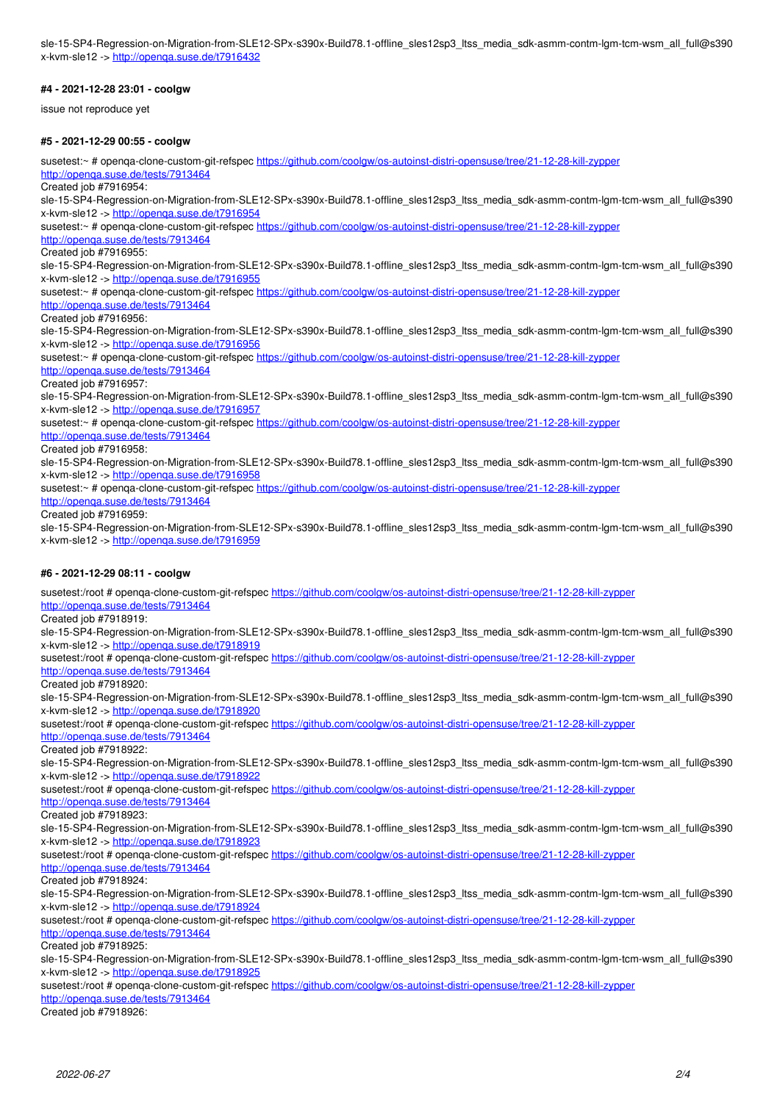sle-15-SP4-Regression-on-Migration-from-SLE12-SPx-s390x-Build78.1-offline\_sles12sp3\_ltss\_media\_sdk-asmm-contm-lgm-tcm-wsm\_all\_full@s390 x-kvm-sle12 -><http://openqa.suse.de/t7916432>

#### **#4 - 2021-12-28 23:01 - coolgw**

issue not reproduce yet

#### **#5 - 2021-12-29 00:55 - coolgw**

susetest:~ # openqa-clone-custom-git-refspec <https://github.com/coolgw/os-autoinst-distri-opensuse/tree/21-12-28-kill-zypper> <http://openqa.suse.de/tests/7913464>

Created job #7916954:

sle-15-SP4-Regression-on-Migration-from-SLE12-SPx-s390x-Build78.1-offline\_sles12sp3\_ltss\_media\_sdk-asmm-contm-lgm-tcm-wsm\_all\_full@s390 x-kvm-sle12 -><http://openqa.suse.de/t7916954>

susetest:~ # openqa-clone-custom-git-refspec <https://github.com/coolgw/os-autoinst-distri-opensuse/tree/21-12-28-kill-zypper>

### <http://openqa.suse.de/tests/7913464>

Created job #7916955:

sle-15-SP4-Regression-on-Migration-from-SLE12-SPx-s390x-Build78.1-offline\_sles12sp3\_ltss\_media\_sdk-asmm-contm-lgm-tcm-wsm\_all\_full@s390 x-kvm-sle12 -> http://openqa.suse.de/t791695

susetest:~ # openqa-clone-custom-git-refspec <https://github.com/coolgw/os-autoinst-distri-opensuse/tree/21-12-28-kill-zypper>

#### <http://openqa.suse.de/tests/7913464>

Created job #7916956:

sle-15-SP4-Regression-on-Migration-from-SLE12-SPx-s390x-Build78.1-offline\_sles12sp3\_ltss\_media\_sdk-asmm-contm-lgm-tcm-wsm\_all\_full@s390 x-kvm-sle12 -><http://openqa.suse.de/t7916956>

susetest:~ # openqa-clone-custom-git-refspec <https://github.com/coolgw/os-autoinst-distri-opensuse/tree/21-12-28-kill-zypper>

#### <http://openqa.suse.de/tests/7913464>

Created job #7916957:

sle-15-SP4-Regression-on-Migration-from-SLE12-SPx-s390x-Build78.1-offline\_sles12sp3\_ltss\_media\_sdk-asmm-contm-lgm-tcm-wsm\_all\_full@s390 x-kvm-sle12 -><http://openqa.suse.de/t7916957>

susetest:~ # openqa-clone-custom-git-refspec <https://github.com/coolgw/os-autoinst-distri-opensuse/tree/21-12-28-kill-zypper>

<http://openqa.suse.de/tests/7913464>

Created job #7916958:

sle-15-SP4-Regression-on-Migration-from-SLE12-SPx-s390x-Build78.1-offline\_sles12sp3\_ltss\_media\_sdk-asmm-contm-lgm-tcm-wsm\_all\_full@s390 x-kvm-sle12 -><http://openqa.suse.de/t7916958>

susetest:~ # openqa-clone-custom-git-refspec <https://github.com/coolgw/os-autoinst-distri-opensuse/tree/21-12-28-kill-zypper>

<http://openqa.suse.de/tests/7913464>

## Created job #7916959:

sle-15-SP4-Regression-on-Migration-from-SLE12-SPx-s390x-Build78.1-offline\_sles12sp3\_ltss\_media\_sdk-asmm-contm-lgm-tcm-wsm\_all\_full@s390 x-kvm-sle12 -><http://openqa.suse.de/t7916959>

#### **#6 - 2021-12-29 08:11 - coolgw**

susetest:/root # openqa-clone-custom-git-refspec<https://github.com/coolgw/os-autoinst-distri-opensuse/tree/21-12-28-kill-zypper> <http://openqa.suse.de/tests/7913464> Created job #7918919: sle-15-SP4-Regression-on-Migration-from-SLE12-SPx-s390x-Build78.1-offline\_sles12sp3\_ltss\_media\_sdk-asmm-contm-lgm-tcm-wsm\_all\_full@s390 x-kvm-sle12 -><http://openqa.suse.de/t7918919> susetest:/root # openqa-clone-custom-git-refspec<https://github.com/coolgw/os-autoinst-distri-opensuse/tree/21-12-28-kill-zypper> <http://openqa.suse.de/tests/7913464> Created job #7918920: sle-15-SP4-Regression-on-Migration-from-SLE12-SPx-s390x-Build78.1-offline\_sles12sp3\_ltss\_media\_sdk-asmm-contm-lgm-tcm-wsm\_all\_full@s390 x-kvm-sle12 -><http://openqa.suse.de/t7918920> susetest:/root # openqa-clone-custom-git-refspec<https://github.com/coolgw/os-autoinst-distri-opensuse/tree/21-12-28-kill-zypper> <http://openqa.suse.de/tests/7913464> Created job #7918922: sle-15-SP4-Regression-on-Migration-from-SLE12-SPx-s390x-Build78.1-offline\_sles12sp3\_ltss\_media\_sdk-asmm-contm-lgm-tcm-wsm\_all\_full@s390 x-kvm-sle12 -><http://openqa.suse.de/t7918922> susetest:/root # openqa-clone-custom-git-refspec<https://github.com/coolgw/os-autoinst-distri-opensuse/tree/21-12-28-kill-zypper> <http://openqa.suse.de/tests/7913464> Created job #7918923: sle-15-SP4-Regression-on-Migration-from-SLE12-SPx-s390x-Build78.1-offline\_sles12sp3\_ltss\_media\_sdk-asmm-contm-lgm-tcm-wsm\_all\_full@s390 x-kvm-sle12 -><http://openqa.suse.de/t7918923> susetest:/root # openqa-clone-custom-git-refspec<https://github.com/coolgw/os-autoinst-distri-opensuse/tree/21-12-28-kill-zypper> <http://openqa.suse.de/tests/7913464> Created job #7918924: sle-15-SP4-Regression-on-Migration-from-SLE12-SPx-s390x-Build78.1-offline\_sles12sp3\_ltss\_media\_sdk-asmm-contm-lgm-tcm-wsm\_all\_full@s390 x-kvm-sle12 -><http://openqa.suse.de/t7918924> susetest:/root # openqa-clone-custom-git-refspec<https://github.com/coolgw/os-autoinst-distri-opensuse/tree/21-12-28-kill-zypper> <http://openqa.suse.de/tests/7913464> Created job #7918925: sle-15-SP4-Regression-on-Migration-from-SLE12-SPx-s390x-Build78.1-offline\_sles12sp3\_ltss\_media\_sdk-asmm-contm-lgm-tcm-wsm\_all\_full@s390 x-kvm-sle12 -><http://openqa.suse.de/t7918925> susetest:/root # openqa-clone-custom-git-refspec<https://github.com/coolgw/os-autoinst-distri-opensuse/tree/21-12-28-kill-zypper>

<http://openqa.suse.de/tests/7913464>

Created job #7918926: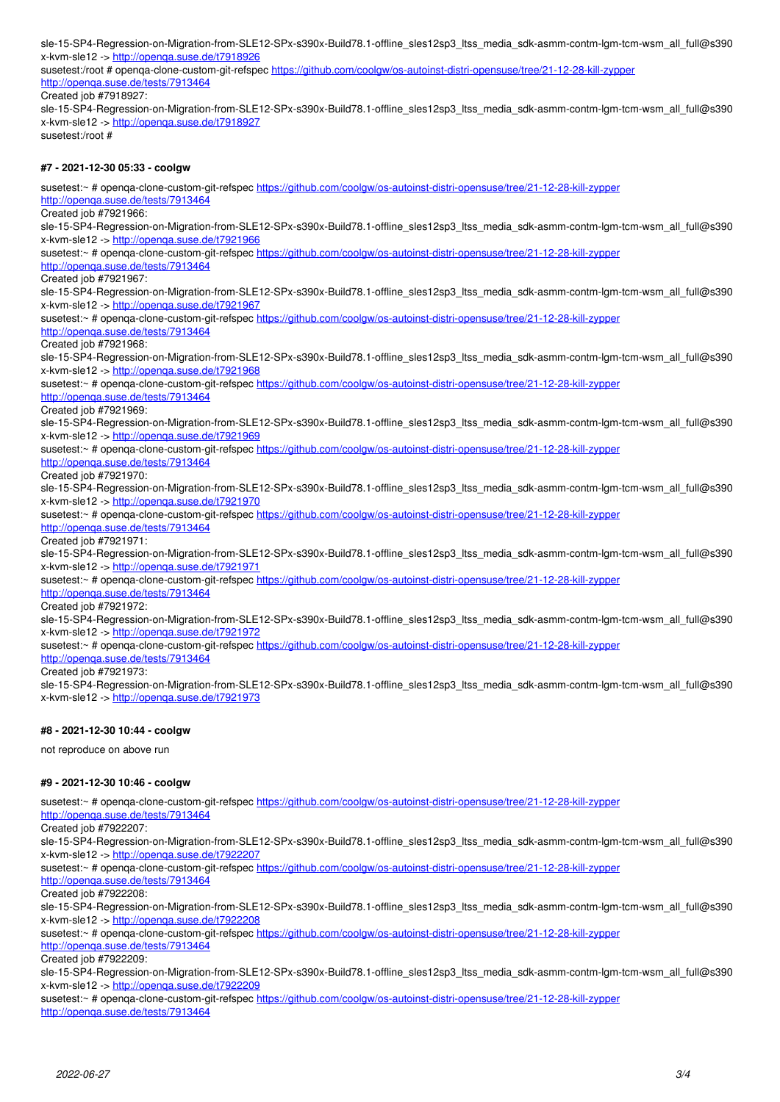sle-15-SP4-Regression-on-Migration-from-SLE12-SPx-s390x-Build78.1-offline\_sles12sp3\_ltss\_media\_sdk-asmm-contm-lgm-tcm-wsm\_all\_full@s390 x-kvm-sle12 -><http://openqa.suse.de/t7918926>

susetest:/root # openqa-clone-custom-git-refspec<https://github.com/coolgw/os-autoinst-distri-opensuse/tree/21-12-28-kill-zypper> <http://openqa.suse.de/tests/7913464>

Created job #7918927:

sle-15-SP4-Regression-on-Migration-from-SLE12-SPx-s390x-Build78.1-offline\_sles12sp3\_ltss\_media\_sdk-asmm-contm-lgm-tcm-wsm\_all\_full@s390 x-kvm-sle12 -><http://openqa.suse.de/t7918927>

susetest:/root #

#### **#7 - 2021-12-30 05:33 - coolgw**

susetest:~ # openqa-clone-custom-git-refspec <https://github.com/coolgw/os-autoinst-distri-opensuse/tree/21-12-28-kill-zypper> <http://openqa.suse.de/tests/7913464> Created job #7921966: sle-15-SP4-Regression-on-Migration-from-SLE12-SPx-s390x-Build78.1-offline\_sles12sp3\_ltss\_media\_sdk-asmm-contm-lgm-tcm-wsm\_all\_full@s390 x-kvm-sle12 -><http://openqa.suse.de/t7921966> susetest:~ # openga-clone-custom-git-refspec <https://github.com/coolgw/os-autoinst-distri-opensuse/tree/21-12-28-kill-zypper> <http://openqa.suse.de/tests/7913464> Created job #7921967: sle-15-SP4-Regression-on-Migration-from-SLE12-SPx-s390x-Build78.1-offline\_sles12sp3\_ltss\_media\_sdk-asmm-contm-lgm-tcm-wsm\_all\_full@s390 x-kvm-sle12 -><http://openqa.suse.de/t7921967> susetest:~ # openqa-clone-custom-git-refspec <https://github.com/coolgw/os-autoinst-distri-opensuse/tree/21-12-28-kill-zypper> <http://openqa.suse.de/tests/7913464> Created job #7921968: sle-15-SP4-Regression-on-Migration-from-SLE12-SPx-s390x-Build78.1-offline\_sles12sp3\_ltss\_media\_sdk-asmm-contm-lgm-tcm-wsm\_all\_full@s390 x-kvm-sle12 -><http://openqa.suse.de/t7921968> susetest:~ # openqa-clone-custom-git-refspec <https://github.com/coolgw/os-autoinst-distri-opensuse/tree/21-12-28-kill-zypper> <http://openqa.suse.de/tests/7913464> Created job #7921969: sle-15-SP4-Regression-on-Migration-from-SLE12-SPx-s390x-Build78.1-offline\_sles12sp3\_ltss\_media\_sdk-asmm-contm-lgm-tcm-wsm\_all\_full@s390 x-kvm-sle12 -><http://openqa.suse.de/t7921969> susetest:~ # openqa-clone-custom-git-refspec <https://github.com/coolgw/os-autoinst-distri-opensuse/tree/21-12-28-kill-zypper> <http://openqa.suse.de/tests/7913464> Created job #7921970: sle-15-SP4-Regression-on-Migration-from-SLE12-SPx-s390x-Build78.1-offline\_sles12sp3\_ltss\_media\_sdk-asmm-contm-lgm-tcm-wsm\_all\_full@s390 x-kvm-sle12 -><http://openqa.suse.de/t7921970> susetest:~ # openqa-clone-custom-git-refspec <https://github.com/coolgw/os-autoinst-distri-opensuse/tree/21-12-28-kill-zypper> <http://openqa.suse.de/tests/7913464> Created job #7921971: sle-15-SP4-Regression-on-Migration-from-SLE12-SPx-s390x-Build78.1-offline\_sles12sp3\_ltss\_media\_sdk-asmm-contm-lgm-tcm-wsm\_all\_full@s390 x-kvm-sle12 -><http://openqa.suse.de/t7921971> susetest:~ # openqa-clone-custom-git-refspec <https://github.com/coolgw/os-autoinst-distri-opensuse/tree/21-12-28-kill-zypper> <http://openqa.suse.de/tests/7913464> Created job #7921972: sle-15-SP4-Regression-on-Migration-from-SLE12-SPx-s390x-Build78.1-offline\_sles12sp3\_ltss\_media\_sdk-asmm-contm-lgm-tcm-wsm\_all\_full@s390 x-kvm-sle12 -><http://openqa.suse.de/t7921972> susetest:~ # openqa-clone-custom-git-refspec <https://github.com/coolgw/os-autoinst-distri-opensuse/tree/21-12-28-kill-zypper> <http://openqa.suse.de/tests/7913464>

Created job #7921973:

sle-15-SP4-Regression-on-Migration-from-SLE12-SPx-s390x-Build78.1-offline\_sles12sp3\_ltss\_media\_sdk-asmm-contm-lgm-tcm-wsm\_all\_full@s390 x-kvm-sle12 -><http://openqa.suse.de/t7921973>

#### **#8 - 2021-12-30 10:44 - coolgw**

not reproduce on above run

#### **#9 - 2021-12-30 10:46 - coolgw**

susetest:~ # openqa-clone-custom-git-refspec <https://github.com/coolgw/os-autoinst-distri-opensuse/tree/21-12-28-kill-zypper>

<http://openqa.suse.de/tests/7913464> Created job #7922207:

sle-15-SP4-Regression-on-Migration-from-SLE12-SPx-s390x-Build78.1-offline\_sles12sp3\_ltss\_media\_sdk-asmm-contm-lgm-tcm-wsm\_all\_full@s390 x-kvm-sle12 -><http://openqa.suse.de/t7922207>

susetest:~ # openqa-clone-custom-git-refspec <https://github.com/coolgw/os-autoinst-distri-opensuse/tree/21-12-28-kill-zypper>

<http://openqa.suse.de/tests/7913464>

Created job #7922208:

sle-15-SP4-Regression-on-Migration-from-SLE12-SPx-s390x-Build78.1-offline\_sles12sp3\_ltss\_media\_sdk-asmm-contm-lgm-tcm-wsm\_all\_full@s390 x-kvm-sle12 -><http://openqa.suse.de/t7922208>

susetest:~ # openqa-clone-custom-git-refspec <https://github.com/coolgw/os-autoinst-distri-opensuse/tree/21-12-28-kill-zypper> <http://openqa.suse.de/tests/7913464>

Created job #7922209:

sle-15-SP4-Regression-on-Migration-from-SLE12-SPx-s390x-Build78.1-offline\_sles12sp3\_ltss\_media\_sdk-asmm-contm-lgm-tcm-wsm\_all\_full@s390 x-kvm-sle12 -><http://openqa.suse.de/t7922209>

susetest:~ # openga-clone-custom-git-refspec <https://github.com/coolgw/os-autoinst-distri-opensuse/tree/21-12-28-kill-zypper>

<http://openqa.suse.de/tests/7913464>